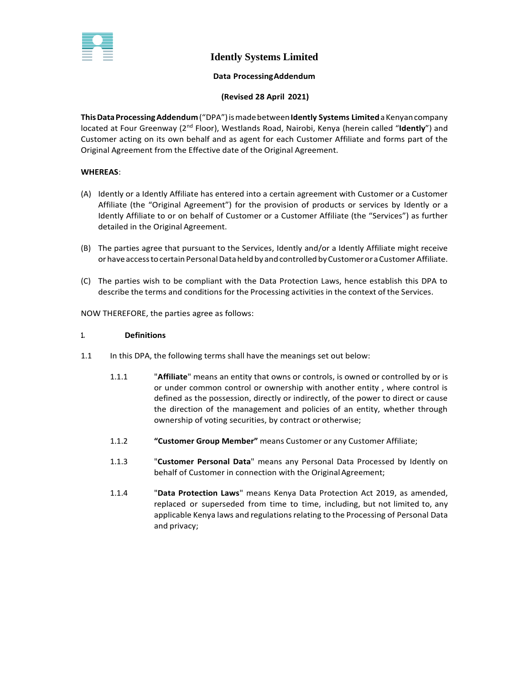

# **Idently Systems Limited**

## **Data ProcessingAddendum**

## **(Revised 28 April 2021)**

**ThisDataProcessingAddendum**("DPA")ismadebetween**Idently Systems Limited**aKenyancompany located at Four Greenway (2<sup>nd</sup> Floor), Westlands Road, Nairobi, Kenya (herein called "Idently") and Customer acting on its own behalf and as agent for each Customer Affiliate and forms part of the Original Agreement from the Effective date of the Original Agreement.

### **WHEREAS**:

- (A) Idently or a Idently Affiliate has entered into a certain agreement with Customer or a Customer Affiliate (the "Original Agreement") for the provision of products or services by Idently or a Idently Affiliate to or on behalf of Customer or a Customer Affiliate (the "Services") as further detailed in the Original Agreement.
- (B) The parties agree that pursuant to the Services, Idently and/or a Idently Affiliate might receive orhaveaccesstocertainPersonalDataheldby andcontrolledbyCustomeroraCustomer Affiliate.
- (C) The parties wish to be compliant with the Data Protection Laws, hence establish this DPA to describe the terms and conditions for the Processing activities in the context of the Services.

NOW THEREFORE, the parties agree as follows:

### **1. Definitions**

- 1.1 In this DPA, the following terms shall have the meanings set out below:
	- 1.1.1 "**Affiliate**" means an entity that owns or controls, is owned or controlled by or is or under common control or ownership with another entity , where control is defined as the possession, directly or indirectly, of the power to direct or cause the direction of the management and policies of an entity, whether through ownership of voting securities, by contract or otherwise;
	- 1.1.2 **"Customer Group Member"** means Customer or any Customer Affiliate;
	- 1.1.3 "**Customer Personal Data**" means any Personal Data Processed by Idently on behalf of Customer in connection with the Original Agreement;
	- 1.1.4 "**Data Protection Laws**" means Kenya Data Protection Act 2019, as amended, replaced or superseded from time to time, including, but not limited to, any applicable Kenya laws and regulations relating to the Processing of Personal Data and privacy;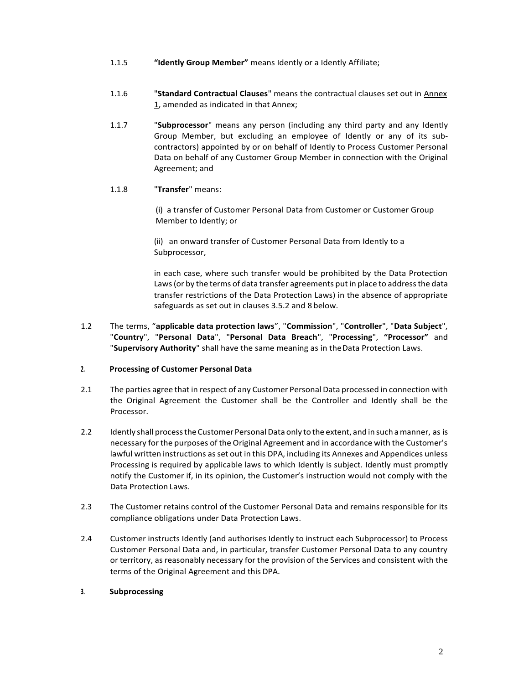- 1.1.5 **"Idently Group Member"** means Idently or a Idently Affiliate;
- 1.1.6 "**Standard Contractual Clauses**" means the contractual clauses set out in Annex 1, amended as indicated in that Annex;
- 1.1.7 "**Subprocessor**" means any person (including any third party and any Idently Group Member, but excluding an employee of Idently or any of its sub‐ contractors) appointed by or on behalf of Idently to Process Customer Personal Data on behalf of any Customer Group Member in connection with the Original Agreement; and

#### 1.1.8 "**Transfer**" means:

(i) a transfer of Customer Personal Data from Customer or Customer Group Member to Idently; or

(ii) an onward transfer of Customer Personal Data from Idently to a Subprocessor,

in each case, where such transfer would be prohibited by the Data Protection Laws (or by the terms of data transfer agreements put in place to address the data transfer restrictions of the Data Protection Laws) in the absence of appropriate safeguards as set out in clauses 3.5.2 and 8 below.

1.2 The terms, "**applicable data protection laws**", "**Commission**", "**Controller**", "**Data Subject**", "**Country**", "**Personal Data**", "**Personal Data Breach**", "**Processing**", **"Processor"** and "**Supervisory Authority**" shall have the same meaning as in theData Protection Laws.

### **2. Processing of Customer Personal Data**

- 2.1 The parties agree that in respect of any Customer Personal Data processed in connection with the Original Agreement the Customer shall be the Controller and Idently shall be the Processor.
- 2.2 Idently shall process the Customer Personal Data only to the extent, and in such a manner, as is necessary for the purposes of the Original Agreement and in accordance with the Customer's lawful written instructions as set out in this DPA, including its Annexes and Appendices unless Processing is required by applicable laws to which Idently is subject. Idently must promptly notify the Customer if, in its opinion, the Customer's instruction would not comply with the Data Protection Laws.
- 2.3 The Customer retains control of the Customer Personal Data and remains responsible for its compliance obligations under Data Protection Laws.
- 2.4 Customer instructs Idently (and authorises Idently to instruct each Subprocessor) to Process Customer Personal Data and, in particular, transfer Customer Personal Data to any country or territory, as reasonably necessary for the provision of the Services and consistent with the terms of the Original Agreement and this DPA.

### **3. Subprocessing**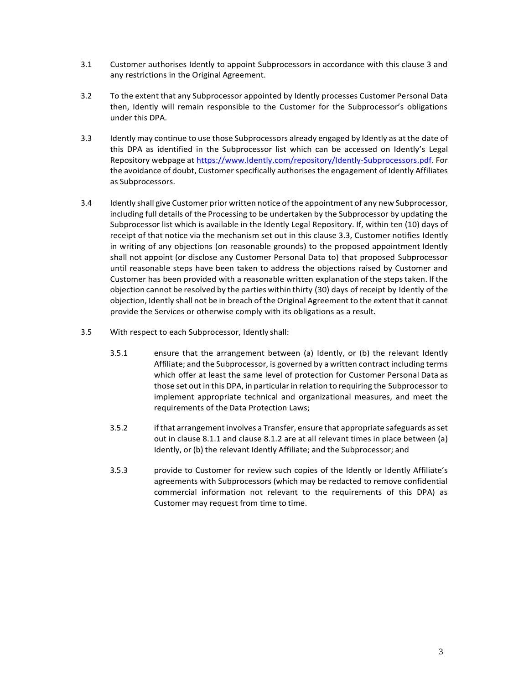- 3.1 Customer authorises Idently to appoint Subprocessors in accordance with this clause 3 and any restrictions in the Original Agreement.
- 3.2 To the extent that any Subprocessor appointed by Idently processes Customer Personal Data then, Idently will remain responsible to the Customer for the Subprocessor's obligations under this DPA.
- 3.3 Idently may continue to use those Subprocessors already engaged by Idently as at the date of this DPA as identified in the Subprocessor list which can be accessed on Idently's Legal Repository webpage at [https://www.Idently.com/repository/Idently-Subprocessors.pdf.](https://www.idently.com/repository/Idently-Subprocessors.pdf) For the avoidance of doubt, Customer specifically authorises the engagement of Idently Affiliates as Subprocessors.
- 3.4 Idently shall give Customer prior written notice of the appointment of any new Subprocessor, including full details of the Processing to be undertaken by the Subprocessor by updating the Subprocessor list which is available in the Idently Legal Repository. If, within ten (10) days of receipt of that notice via the mechanism set out in this clause 3.3, Customer notifies Idently in writing of any objections (on reasonable grounds) to the proposed appointment Idently shall not appoint (or disclose any Customer Personal Data to) that proposed Subprocessor until reasonable steps have been taken to address the objections raised by Customer and Customer has been provided with a reasonable written explanation ofthe stepstaken. Ifthe objection cannot be resolved by the parties within thirty (30) days of receipt by Idently of the objection, Idently shall not be in breach of the Original Agreement to the extent that it cannot provide the Services or otherwise comply with its obligations as a result.
- 3.5 With respect to each Subprocessor, Idently shall:
	- 3.5.1 ensure that the arrangement between (a) Idently, or (b) the relevant Idently Affiliate; and the Subprocessor, is governed by a written contract including terms which offer at least the same level of protection for Customer Personal Data as those set out in this DPA, in particularin relation to requiring the Subprocessor to implement appropriate technical and organizational measures, and meet the requirements of the Data Protection Laws;
	- 3.5.2 ifthat arrangementinvolves a Transfer, ensure that appropriate safeguards asset out in clause 8.1.1 and clause 8.1.2 are at all relevant times in place between (a) Idently, or (b) the relevant Idently Affiliate; and the Subprocessor; and
	- 3.5.3 provide to Customer for review such copies of the Idently or Idently Affiliate's agreements with Subprocessors (which may be redacted to remove confidential commercial information not relevant to the requirements of this DPA) as Customer may request from time to time.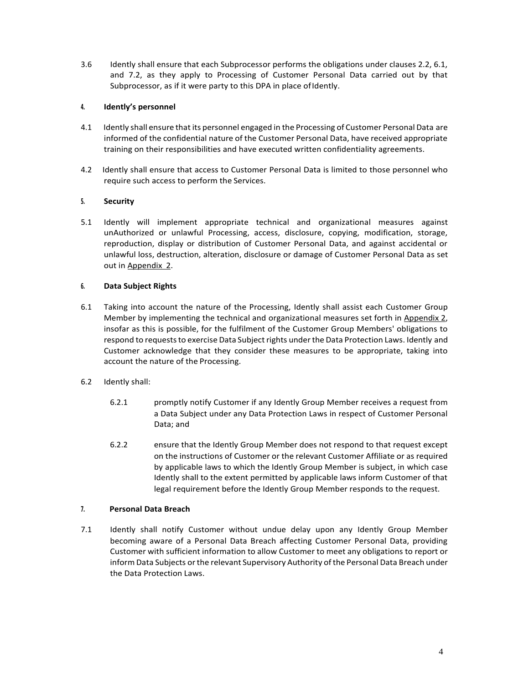3.6 Idently shall ensure that each Subprocessor performs the obligations under clauses 2.2, 6.1, and 7.2, as they apply to Processing of Customer Personal Data carried out by that Subprocessor, as if it were party to this DPA in place of Idently.

## **4. Idently's personnel**

- 4.1 Idently shall ensure that its personnel engaged in the Processing of Customer Personal Data are informed of the confidential nature of the Customer Personal Data, have received appropriate training on their responsibilities and have executed written confidentiality agreements.
- 4.2 Idently shall ensure that access to Customer Personal Data is limited to those personnel who require such access to perform the Services.

## **5. Security**

5.1 Idently will implement appropriate technical and organizational measures against unAuthorized or unlawful Processing, access, disclosure, copying, modification, storage, reproduction, display or distribution of Customer Personal Data, and against accidental or unlawful loss, destruction, alteration, disclosure or damage of Customer Personal Data as set out in Appendix 2.

## **6. Data Subject Rights**

- 6.1 Taking into account the nature of the Processing, Idently shall assist each Customer Group Member by implementing the technical and organizational measures set forth in Appendix 2, insofar as this is possible, for the fulfilment of the Customer Group Members' obligations to respond to requeststo exercise Data Subject rights underthe Data Protection Laws. Idently and Customer acknowledge that they consider these measures to be appropriate, taking into account the nature of the Processing.
- 6.2 Idently shall:
	- 6.2.1 promptly notify Customer if any Idently Group Member receives a request from a Data Subject under any Data Protection Laws in respect of Customer Personal Data; and
	- 6.2.2 ensure that the Idently Group Member does not respond to that request except on the instructions of Customer or the relevant Customer Affiliate or as required by applicable laws to which the Idently Group Member is subject, in which case Idently shall to the extent permitted by applicable laws inform Customer of that legal requirement before the Idently Group Member responds to the request.

### **7. Personal Data Breach**

7.1 Idently shall notify Customer without undue delay upon any Idently Group Member becoming aware of a Personal Data Breach affecting Customer Personal Data, providing Customer with sufficient information to allow Customer to meet any obligations to report or inform Data Subjects orthe relevant Supervisory Authority ofthe Personal Data Breach under the Data Protection Laws.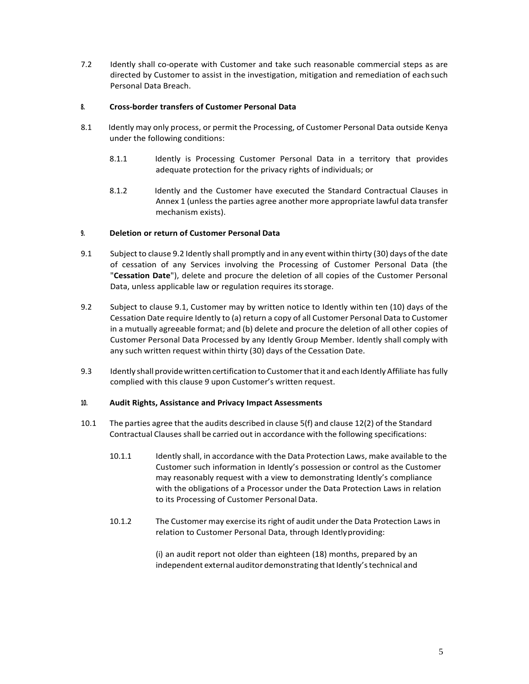7.2 Idently shall co-operate with Customer and take such reasonable commercial steps as are directed by Customer to assist in the investigation, mitigation and remediation of eachsuch Personal Data Breach.

### **8. Cross‐border transfers of Customer Personal Data**

- 8.1 Idently may only process, or permit the Processing, of Customer Personal Data outside Kenya under the following conditions:
	- 8.1.1 Idently is Processing Customer Personal Data in a territory that provides adequate protection for the privacy rights of individuals; or
	- 8.1.2 Idently and the Customer have executed the Standard Contractual Clauses in Annex 1 (unless the parties agree another more appropriate lawful data transfer mechanism exists).

## **9. Deletion or return of Customer Personal Data**

- 9.1 Subject to clause 9.2 Idently shall promptly and in any event within thirty (30) days of the date of cessation of any Services involving the Processing of Customer Personal Data (the "**Cessation Date**"), delete and procure the deletion of all copies of the Customer Personal Data, unless applicable law or regulation requires its storage.
- 9.2 Subject to clause 9.1, Customer may by written notice to Idently within ten (10) days of the Cessation Date require Idently to (a) return a copy of all Customer Personal Data to Customer in a mutually agreeable format; and (b) delete and procure the deletion of all other copies of Customer Personal Data Processed by any Idently Group Member. Idently shall comply with any such written request within thirty (30) days of the Cessation Date.
- 9.3 Idently shall provide written certification to Customer that it and each Idently Affiliate has fully complied with this clause 9 upon Customer's written request.

### **10. Audit Rights, Assistance and Privacy Impact Assessments**

- 10.1 The parties agree that the audits described in clause 5(f) and clause 12(2) of the Standard Contractual Clauses shall be carried out in accordance with the following specifications:
	- 10.1.1 Idently shall, in accordance with the Data Protection Laws, make available to the Customer such information in Idently's possession or control as the Customer may reasonably request with a view to demonstrating Idently's compliance with the obligations of a Processor under the Data Protection Laws in relation to its Processing of Customer Personal Data.
	- 10.1.2 The Customer may exercise its right of audit under the Data Protection Laws in relation to Customer Personal Data, through Identlyproviding:

(i) an audit report not older than eighteen (18) months, prepared by an independent external auditor demonstrating that Idently's technical and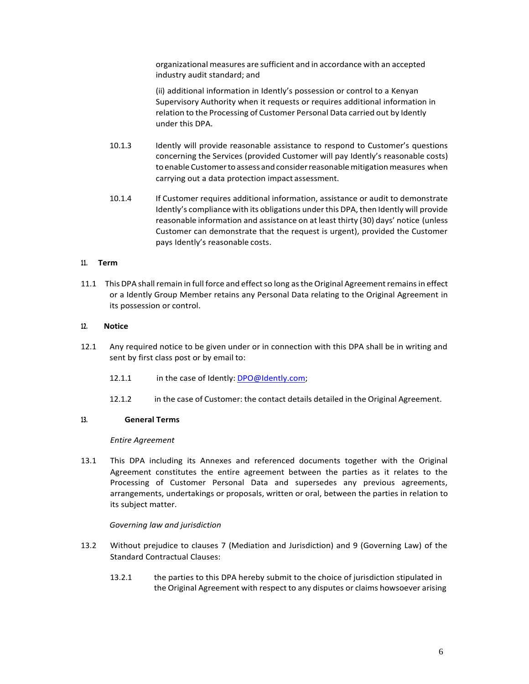organizational measures are sufficient and in accordance with an accepted industry audit standard; and

(ii) additional information in Idently's possession or control to a Kenyan Supervisory Authority when it requests or requires additional information in relation to the Processing of Customer Personal Data carried out by Idently under this DPA.

- 10.1.3 Idently will provide reasonable assistance to respond to Customer's questions concerning the Services (provided Customer will pay Idently's reasonable costs) to enable Customer to assess and consider reasonable mitigation measures when carrying out a data protection impact assessment.
- 10.1.4 If Customer requires additional information, assistance or audit to demonstrate Idently's compliance with its obligations under this DPA, then Idently will provide reasonable information and assistance on at least thirty (30) days' notice (unless Customer can demonstrate that the request is urgent), provided the Customer pays Idently's reasonable costs.

#### **11. Term**

11.1 This DPA shall remain in full force and effect so long as the Original Agreement remains in effect or a Idently Group Member retains any Personal Data relating to the Original Agreement in its possession or control.

#### **12. Notice**

- 12.1 Any required notice to be given under or in connection with this DPA shall be in writing and sent by first class post or by email to:
	- 12.1.1 in the case of Idently: **DPO@Idently.com**;
	- 12.1.2 in the case of Customer: the contact details detailed in the Original Agreement.

#### **13. General Terms**

#### *Entire Agreement*

13.1 This DPA including its Annexes and referenced documents together with the Original Agreement constitutes the entire agreement between the parties as it relates to the Processing of Customer Personal Data and supersedes any previous agreements, arrangements, undertakings or proposals, written or oral, between the parties in relation to its subject matter.

#### *Governing law and jurisdiction*

- 13.2 Without prejudice to clauses 7 (Mediation and Jurisdiction) and 9 (Governing Law) of the Standard Contractual Clauses:
	- 13.2.1 the parties to this DPA hereby submit to the choice of jurisdiction stipulated in the Original Agreement with respect to any disputes or claims howsoever arising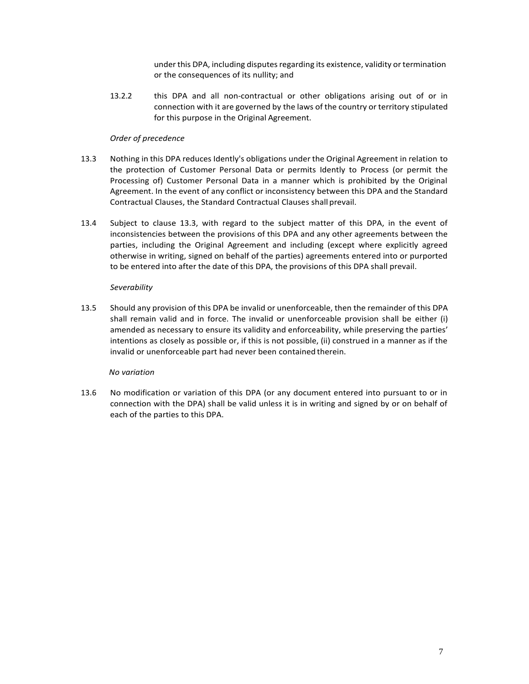under this DPA, including disputes regarding its existence, validity or termination or the consequences of its nullity; and

13.2.2 this DPA and all non-contractual or other obligations arising out of or in connection with it are governed by the laws of the country or territory stipulated for this purpose in the Original Agreement.

### *Order of precedence*

- 13.3 Nothing in this DPA reduces Idently's obligations under the Original Agreement in relation to the protection of Customer Personal Data or permits Idently to Process (or permit the Processing of) Customer Personal Data in a manner which is prohibited by the Original Agreement. In the event of any conflict or inconsistency between this DPA and the Standard Contractual Clauses, the Standard Contractual Clauses shall prevail.
- 13.4 Subject to clause 13.3, with regard to the subject matter of this DPA, in the event of inconsistencies between the provisions of this DPA and any other agreements between the parties, including the Original Agreement and including (except where explicitly agreed otherwise in writing, signed on behalf of the parties) agreements entered into or purported to be entered into after the date of this DPA, the provisions of this DPA shall prevail.

#### *Severability*

13.5 Should any provision of this DPA be invalid or unenforceable, then the remainder of this DPA shall remain valid and in force. The invalid or unenforceable provision shall be either (i) amended as necessary to ensure its validity and enforceability, while preserving the parties' intentions as closely as possible or, if this is not possible, (ii) construed in a manner as if the invalid or unenforceable part had never been contained therein.

#### *No variation*

13.6 No modification or variation of this DPA (or any document entered into pursuant to or in connection with the DPA) shall be valid unless it is in writing and signed by or on behalf of each of the parties to this DPA.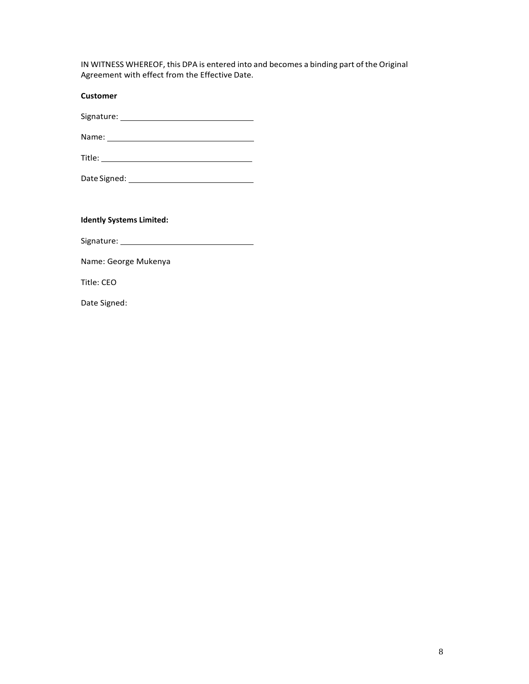IN WITNESS WHEREOF, this DPA is entered into and becomes a binding part of the Original Agreement with effect from the Effective Date.

**Customer**

Signature:

Name:

| Title: |  |  |
|--------|--|--|
|        |  |  |

Date Signed:

**Idently Systems Limited:**

Signature:

Name: George Mukenya

Title: CEO

Date Signed: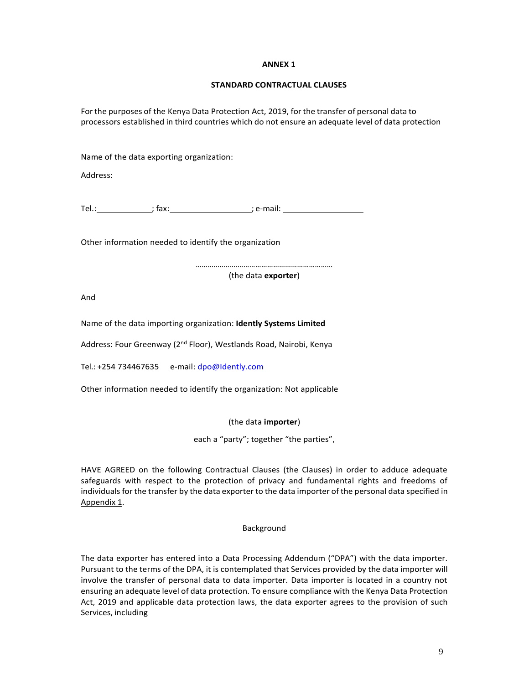#### **ANNEX 1**

### **STANDARD CONTRACTUAL CLAUSES**

Forthe purposes of the Kenya Data Protection Act, 2019, for the transfer of personal data to processors established in third countries which do not ensure an adequate level of data protection

Name of the data exporting organization:

Address:

Tel.: \_\_\_\_\_\_\_\_\_\_\_\_\_\_\_; fax:\_\_\_\_\_\_\_\_\_\_\_\_\_\_\_\_\_\_\_\_\_\_\_; e-mail: \_\_\_\_\_\_\_\_\_\_\_\_\_\_\_\_\_\_\_\_

Other information needed to identify the organization

…………………………………………………………… (the data **exporter**)

And

Name of the data importing organization: **Idently Systems Limited**

Address: Four Greenway (2<sup>nd</sup> Floor), Westlands Road, Nairobi, Kenya

Tel.: +254 734467635 e-mail: [dpo@Idently.com](mailto:dpo@idently.com)

Other information needed to identify the organization: Not applicable

(the data **importer**)

each a "party"; together "the parties",

HAVE AGREED on the following Contractual Clauses (the Clauses) in order to adduce adequate safeguards with respect to the protection of privacy and fundamental rights and freedoms of individuals for the transfer by the data exporter to the data importer of the personal data specified in Appendix 1.

#### Background

The data exporter has entered into a Data Processing Addendum ("DPA") with the data importer. Pursuant to the terms of the DPA, it is contemplated that Services provided by the data importer will involve the transfer of personal data to data importer. Data importer is located in a country not ensuring an adequate level of data protection. To ensure compliance with the Kenya Data Protection Act, 2019 and applicable data protection laws, the data exporter agrees to the provision of such Services, including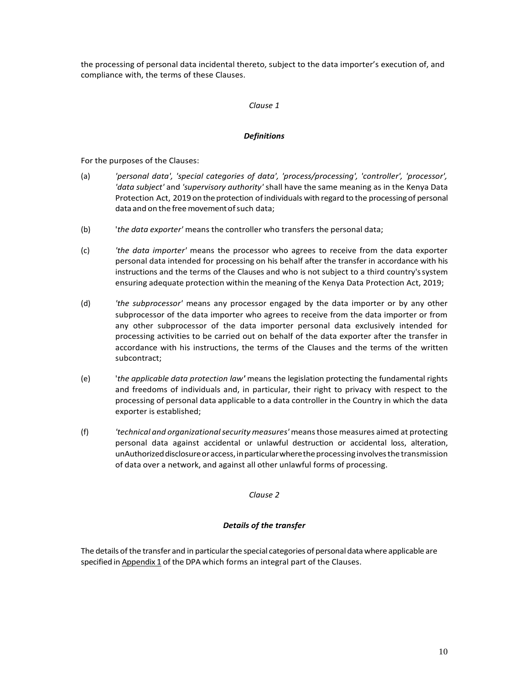the processing of personal data incidental thereto, subject to the data importer's execution of, and compliance with, the terms of these Clauses.

### *Clause 1*

#### *Definitions*

For the purposes of the Clauses:

- (a) *'personal data', 'special categories of data', 'process/processing', 'controller', 'processor', 'data subject'* and *'supervisory authority'* shall have the same meaning as in the Kenya Data Protection Act, 2019 on the protection of individuals with regard to the processing of personal data and on the free movement of such data;
- (b) '*the data exporter'* means the controller who transfers the personal data;
- (c) *'the data importer'* means the processor who agrees to receive from the data exporter personal data intended for processing on his behalf after the transfer in accordance with his instructions and the terms of the Clauses and who is not subject to a third country'ssystem ensuring adequate protection within the meaning of the Kenya Data Protection Act, 2019;
- (d) *'the subprocessor'* means any processor engaged by the data importer or by any other subprocessor of the data importer who agrees to receive from the data importer or from any other subprocessor of the data importer personal data exclusively intended for processing activities to be carried out on behalf of the data exporter after the transfer in accordance with his instructions, the terms of the Clauses and the terms of the written subcontract;
- (e) '*the applicable data protection law'* means the legislation protecting the fundamental rights and freedoms of individuals and, in particular, their right to privacy with respect to the processing of personal data applicable to a data controller in the Country in which the data exporter is established;
- (f) *'technical and organizationalsecurity measures'* meansthose measures aimed at protecting personal data against accidental or unlawful destruction or accidental loss, alteration, unAuthorizeddisclosureoraccess,inparticularwheretheprocessing involvesthetransmission of data over a network, and against all other unlawful forms of processing.

*Clause 2*

#### *Details of the transfer*

The details of the transfer and in particular the special categories of personal data where applicable are specified in Appendix 1 of the DPA which forms an integral part of the Clauses.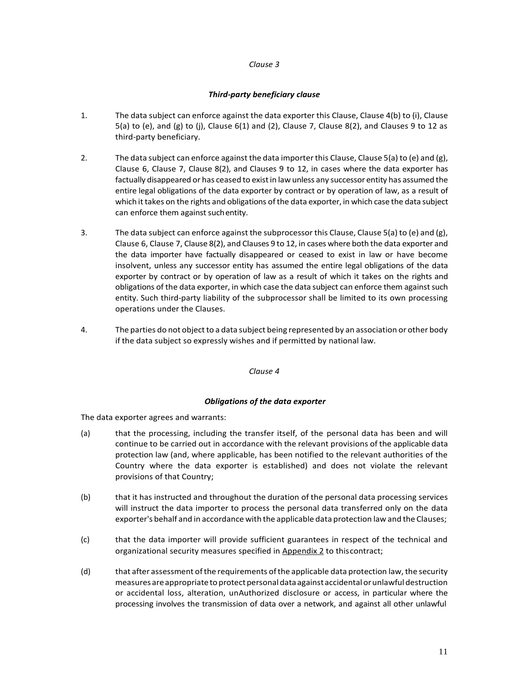### *Clause 3*

### *Third‐party beneficiary clause*

- 1. The data subject can enforce against the data exporter this Clause, Clause 4(b) to (i), Clause 5(a) to (e), and (g) to (j), Clause 6(1) and (2), Clause 7, Clause 8(2), and Clauses 9 to 12 as third‐party beneficiary.
- 2. The data subject can enforce against the data importer this Clause, Clause 5(a) to (e) and (g), Clause 6, Clause 7, Clause 8(2), and Clauses 9 to 12, in cases where the data exporter has factually disappeared or has ceased to existin law unless any successor entity has assumed the entire legal obligations of the data exporter by contract or by operation of law, as a result of which it takes on the rights and obligations of the data exporter, in which case the data subject can enforce them against suchentity.
- 3. The data subject can enforce against the subprocessor this Clause, Clause 5(a) to (e) and (g), Clause 6, Clause 7, Clause 8(2), and Clauses 9 to 12, in cases where both the data exporter and the data importer have factually disappeared or ceased to exist in law or have become insolvent, unless any successor entity has assumed the entire legal obligations of the data exporter by contract or by operation of law as a result of which it takes on the rights and obligations of the data exporter, in which case the data subject can enforce them against such entity. Such third-party liability of the subprocessor shall be limited to its own processing operations under the Clauses.
- 4. The parties do not objectto a data subject being represented by an association or other body if the data subject so expressly wishes and if permitted by national law.

### *Clause 4*

### *Obligations of the data exporter*

The data exporter agrees and warrants:

- (a) that the processing, including the transfer itself, of the personal data has been and will continue to be carried out in accordance with the relevant provisions of the applicable data protection law (and, where applicable, has been notified to the relevant authorities of the Country where the data exporter is established) and does not violate the relevant provisions of that Country;
- (b) that it has instructed and throughout the duration of the personal data processing services will instruct the data importer to process the personal data transferred only on the data exporter's behalf and in accordance with the applicable data protection law and the Clauses;
- (c) that the data importer will provide sufficient guarantees in respect of the technical and organizational security measures specified in Appendix 2 to thiscontract;
- (d) that after assessment of the requirements of the applicable data protection law, the security measures are appropriate to protect personal data against accidental or unlawful destruction or accidental loss, alteration, unAuthorized disclosure or access, in particular where the processing involves the transmission of data over a network, and against all other unlawful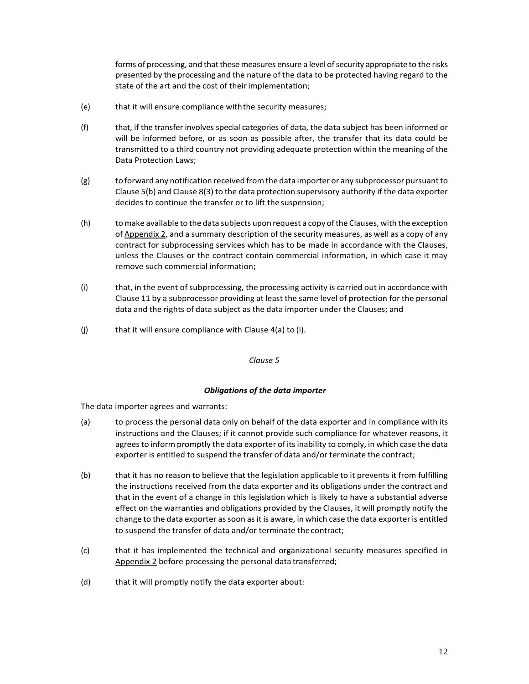forms of processing, and that these measures ensure a level of security appropriate to the risks presented by the processing and the nature of the data to be protected having regard to the state of the art and the cost of their implementation;

- (e) that it will ensure compliance withthe security measures;
- (f) that, if the transfer involves special categories of data, the data subject has been informed or will be informed before, or as soon as possible after, the transfer that its data could be transmitted to a third country not providing adequate protection within the meaning of the Data Protection Laws;
- (g) to forward any notification received fromthe data importer or any subprocessor pursuantto Clause 5(b) and Clause 8(3) to the data protection supervisory authority if the data exporter decides to continue the transfer or to lift the suspension;
- (h) tomake available to the data subjects upon request a copy ofthe Clauses, with the exception of Appendix 2, and a summary description of the security measures, as well as a copy of any contract for subprocessing services which has to be made in accordance with the Clauses, unless the Clauses or the contract contain commercial information, in which case it may remove such commercial information;
- (i) that, in the event ofsubprocessing, the processing activity is carried out in accordance with Clause 11 by a subprocessor providing at least the same level of protection for the personal data and the rights of data subject as the data importer under the Clauses; and
- $(i)$  that it will ensure compliance with Clause  $4(a)$  to  $(i)$ .

#### *Clause 5*

#### *Obligations of the data importer*

The data importer agrees and warrants:

- (a) to process the personal data only on behalf of the data exporter and in compliance with its instructions and the Clauses; if it cannot provide such compliance for whatever reasons, it agrees to inform promptly the data exporter of its inability to comply, in which case the data exporter is entitled to suspend the transfer of data and/or terminate the contract;
- (b) that it has no reason to believe that the legislation applicable to it prevents it from fulfilling the instructions received from the data exporter and its obligations under the contract and that in the event of a change in this legislation which is likely to have a substantial adverse effect on the warranties and obligations provided by the Clauses, it will promptly notify the change to the data exporter assoon asit is aware, in which case the data exporter is entitled to suspend the transfer of data and/or terminate thecontract;
- (c) that it has implemented the technical and organizational security measures specified in Appendix 2 before processing the personal data transferred;
- (d) that it will promptly notify the data exporter about: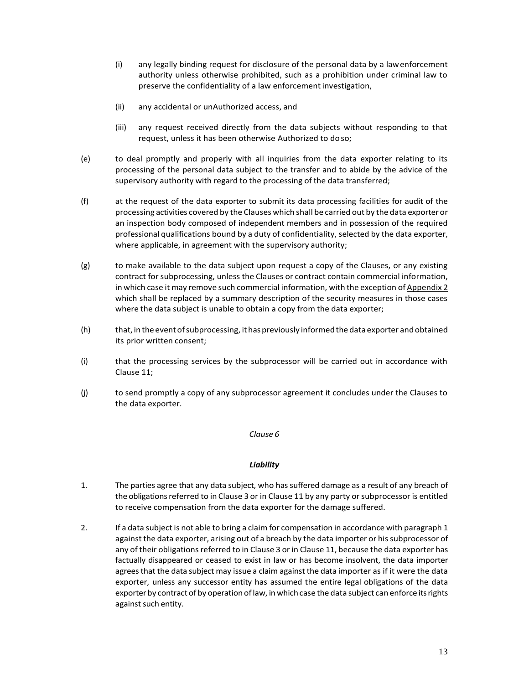- (i) any legally binding request for disclosure of the personal data by a lawenforcement authority unless otherwise prohibited, such as a prohibition under criminal law to preserve the confidentiality of a law enforcement investigation,
- (ii) any accidental or unAuthorized access, and
- (iii) any request received directly from the data subjects without responding to that request, unless it has been otherwise Authorized to doso;
- (e) to deal promptly and properly with all inquiries from the data exporter relating to its processing of the personal data subject to the transfer and to abide by the advice of the supervisory authority with regard to the processing of the data transferred;
- (f) at the request of the data exporter to submit its data processing facilities for audit of the processing activities covered by the Clauses which shall be carried out by the data exporter or an inspection body composed of independent members and in possession of the required professional qualifications bound by a duty of confidentiality, selected by the data exporter, where applicable, in agreement with the supervisory authority;
- (g) to make available to the data subject upon request a copy of the Clauses, or any existing contract forsubprocessing, unless the Clauses or contract contain commercial information, in which case it may remove such commercial information, with the exception of Appendix 2 which shall be replaced by a summary description of the security measures in those cases where the data subject is unable to obtain a copy from the data exporter;
- (h) that, inthe eventofsubprocessing, ithaspreviously informedthedata exporter andobtained its prior written consent;
- (i) that the processing services by the subprocessor will be carried out in accordance with Clause 11;
- (j) to send promptly a copy of any subprocessor agreement it concludes under the Clauses to the data exporter.

### *Clause 6*

### *Liability*

- 1. The parties agree that any data subject, who hassuffered damage as a result of any breach of the obligations referred to in Clause 3 or in Clause 11 by any party or subprocessor is entitled to receive compensation from the data exporter for the damage suffered.
- 2. If a data subject is not able to bring a claim for compensation in accordance with paragraph 1 against the data exporter, arising out of a breach by the data importer or his subprocessor of any of their obligations referred to in Clause 3 or in Clause 11, because the data exporter has factually disappeared or ceased to exist in law or has become insolvent, the data importer agreesthat the data subject may issue a claim against the data importer as if it were the data exporter, unless any successor entity has assumed the entire legal obligations of the data exporter by contract of by operation of law, in which case the data subject can enforce its rights against such entity.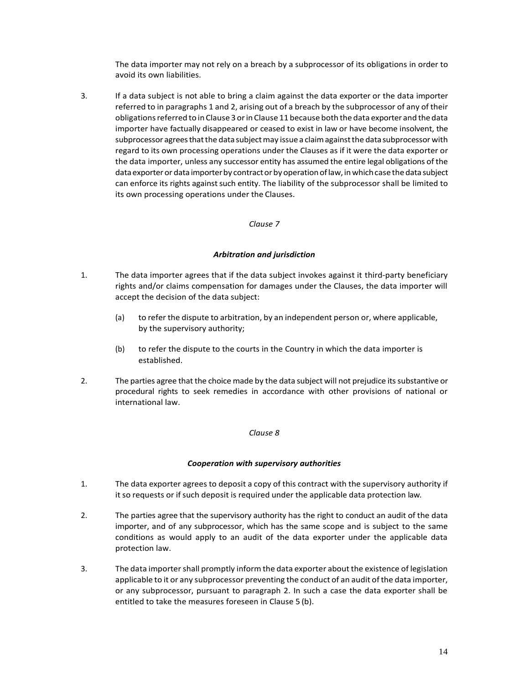The data importer may not rely on a breach by a subprocessor of its obligations in order to avoid its own liabilities.

3. If a data subject is not able to bring a claim against the data exporter or the data importer referred to in paragraphs 1 and 2, arising out of a breach by the subprocessor of any of their obligations referred to in Clause 3 or in Clause 11 because both the data exporter and the data importer have factually disappeared or ceased to exist in law or have become insolvent, the subprocessor agrees that the data subject may issue a claim against the data subprocessor with regard to its own processing operations under the Clauses as if it were the data exporter or the data importer, unless any successor entity has assumed the entire legal obligations of the data exporter or data importer by contract or by operation of law, in which case the data subject can enforce its rights against such entity. The liability of the subprocessor shall be limited to its own processing operations under the Clauses.

#### *Clause 7*

### *Arbitration and jurisdiction*

- 1. The data importer agrees that if the data subject invokes against it third‐party beneficiary rights and/or claims compensation for damages under the Clauses, the data importer will accept the decision of the data subject:
	- (a) to refer the dispute to arbitration, by an independent person or, where applicable, by the supervisory authority;
	- (b) to refer the dispute to the courts in the Country in which the data importer is established.
- 2. The parties agree that the choice made by the data subject will not prejudice its substantive or procedural rights to seek remedies in accordance with other provisions of national or international law.

#### *Clause 8*

#### *Cooperation with supervisory authorities*

- 1. The data exporter agrees to deposit a copy of this contract with the supervisory authority if it so requests or if such deposit is required under the applicable data protection law.
- 2. The parties agree that the supervisory authority has the right to conduct an audit of the data importer, and of any subprocessor, which has the same scope and is subject to the same conditions as would apply to an audit of the data exporter under the applicable data protection law.
- 3. The data importer shall promptly inform the data exporter about the existence of legislation applicable to it or any subprocessor preventing the conduct of an audit of the data importer, or any subprocessor, pursuant to paragraph 2. In such a case the data exporter shall be entitled to take the measures foreseen in Clause 5 (b).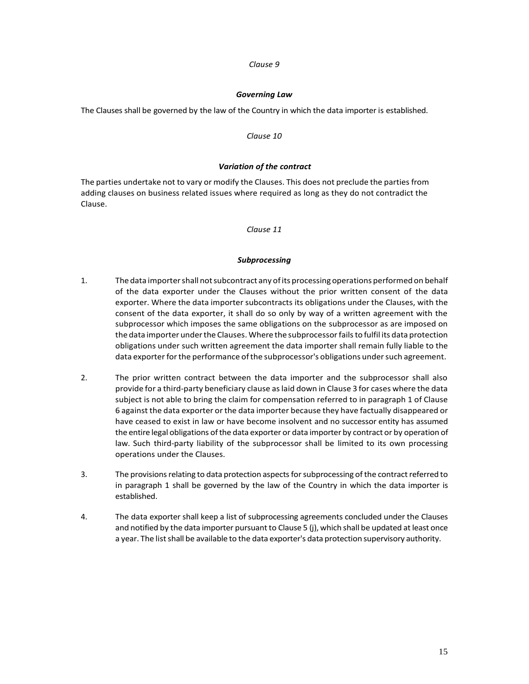#### *Clause 9*

#### *Governing Law*

The Clauses shall be governed by the law of the Country in which the data importer is established.

*Clause 10*

### *Variation of the contract*

The parties undertake not to vary or modify the Clauses. This does not preclude the parties from adding clauses on business related issues where required as long as they do not contradict the Clause.

#### *Clause 11*

#### *Subprocessing*

- 1. Thedata importershallnotsubcontract any ofits processing operations performed on behalf of the data exporter under the Clauses without the prior written consent of the data exporter. Where the data importer subcontracts its obligations under the Clauses, with the consent of the data exporter, it shall do so only by way of a written agreement with the subprocessor which imposes the same obligations on the subprocessor as are imposed on the data importer under the Clauses. Where the subprocessor fails to fulfil its data protection obligations under such written agreement the data importer shall remain fully liable to the data exporter for the performance of the subprocessor's obligations under such agreement.
- 2. The prior written contract between the data importer and the subprocessor shall also provide for a third‐party beneficiary clause aslaid down in Clause 3 for cases where the data subject is not able to bring the claim for compensation referred to in paragraph 1 of Clause 6 against the data exporter orthe data importer because they have factually disappeared or have ceased to exist in law or have become insolvent and no successor entity has assumed the entire legal obligations ofthe data exporter or data importer by contract or by operation of law. Such third‐party liability of the subprocessor shall be limited to its own processing operations under the Clauses.
- 3. The provisions relating to data protection aspects for subprocessing of the contract referred to in paragraph 1 shall be governed by the law of the Country in which the data importer is established.
- 4. The data exporter shall keep a list of subprocessing agreements concluded under the Clauses and notified by the data importer pursuant to Clause 5 (j), which shall be updated at least once a year. The list shall be available to the data exporter's data protection supervisory authority.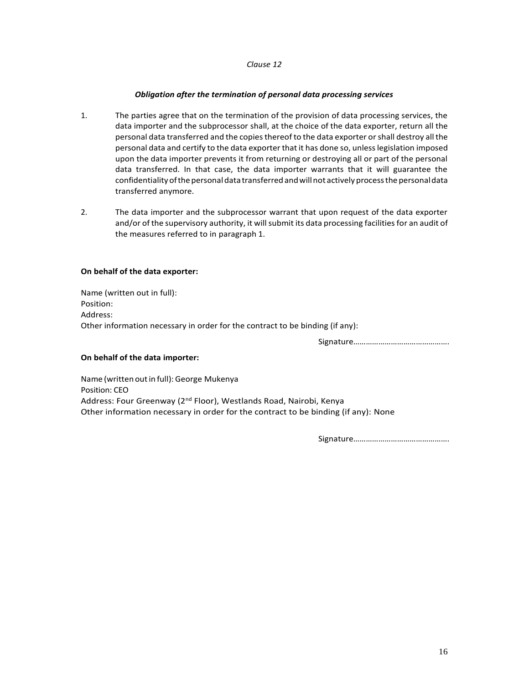### *Clause 12*

## *Obligation after the termination of personal data processing services*

- 1. The parties agree that on the termination of the provision of data processing services, the data importer and the subprocessor shall, at the choice of the data exporter, return all the personal data transferred and the copiesthereof to the data exporter orshall destroy allthe personal data and certify to the data exporterthat it has done so, unlesslegislation imposed upon the data importer prevents it from returning or destroying all or part of the personal data transferred. In that case, the data importer warrants that it will guarantee the confidentialityofthepersonaldatatransferredandwillnot actively processthepersonaldata transferred anymore.
- 2. The data importer and the subprocessor warrant that upon request of the data exporter and/or of the supervisory authority, it will submit its data processing facilities for an audit of the measures referred to in paragraph 1.

### **On behalf of the data exporter:**

Name (written out in full): Position: Address: Other information necessary in order for the contract to be binding (if any):

Signature……………………………………….

#### **On behalf of the data importer:**

Name (written out in full): George Mukenya Position: CEO Address: Four Greenway (2<sup>nd</sup> Floor), Westlands Road, Nairobi, Kenya Other information necessary in order for the contract to be binding (if any): None

Signature……………………………………….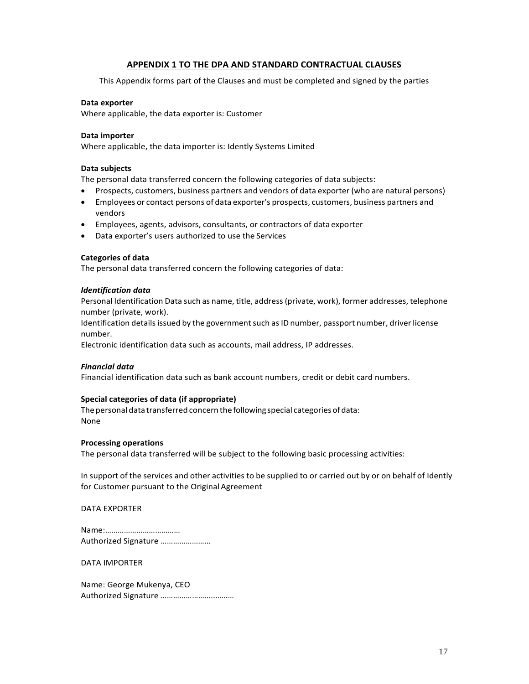### **APPENDIX 1 TO THE DPA AND STANDARD CONTRACTUAL CLAUSES**

This Appendix forms part of the Clauses and must be completed and signed by the parties

#### **Data exporter**

Where applicable, the data exporter is: Customer

#### **Data importer**

Where applicable, the data importer is: Idently Systems Limited

#### **Data subjects**

The personal data transferred concern the following categories of data subjects:

- Prospects, customers, business partners and vendors of data exporter (who are natural persons)
- Employees or contact persons of data exporter's prospects, customers, business partners and vendors
- Employees, agents, advisors, consultants, or contractors of data exporter
- Data exporter's users authorized to use the Services

#### **Categories of data**

The personal data transferred concern the following categories of data:

#### *Identification data*

Personal Identification Data such as name, title, address(private, work), former addresses, telephone number (private, work).

Identification details issued by the government such as ID number, passport number, driver license number.

Electronic identification data such as accounts, mail address, IP addresses.

#### *Financial data*

Financial identification data such as bank account numbers, credit or debit card numbers.

### **Special categories of data (if appropriate)**

The personal data transferred concern the following special categories of data: None

#### **Processing operations**

The personal data transferred will be subject to the following basic processing activities:

In support of the services and other activities to be supplied to or carried out by or on behalf of Idently for Customer pursuant to the Original Agreement

DATA EXPORTER

Name:……………………………… Authorized Signature ……………………

DATA IMPORTER

Name: George Mukenya, CEO Authorized Signature ……………………..………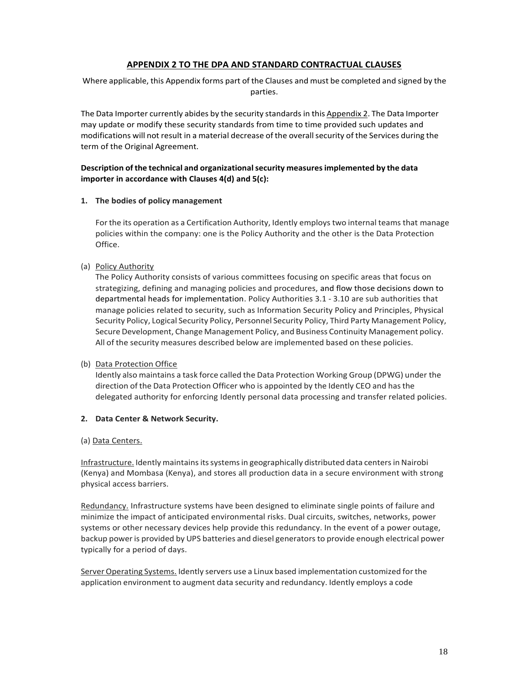### **APPENDIX 2 TO THE DPA AND STANDARD CONTRACTUAL CLAUSES**

Where applicable, this Appendix forms part of the Clauses and must be completed and signed by the parties.

The Data Importer currently abides by the security standards in this Appendix 2. The Data Importer may update or modify these security standards from time to time provided such updates and modifications will not result in a material decrease of the overallsecurity of the Services during the term of the Original Agreement.

## **Description ofthe technical and organizationalsecurity measuresimplemented by the data importer in accordance with Clauses 4(d) and 5(c):**

#### **1. The bodies of policy management**

Forthe its operation as a Certification Authority, Idently employs two internal teams that manage policies within the company: one is the Policy Authority and the other is the Data Protection Office.

### (a) Policy Authority

The Policy Authority consists of various committees focusing on specific areas that focus on strategizing, defining and managing policies and procedures, and flow those decisions down to departmental heads for implementation. Policy Authorities 3.1 ‐ 3.10 are sub authorities that manage policies related to security, such as Information Security Policy and Principles, Physical Security Policy, Logical Security Policy, Personnel Security Policy, Third Party Management Policy, Secure Development, Change Management Policy, and Business Continuity Management policy. All of the security measures described below are implemented based on these policies.

### (b) Data Protection Office

Idently also maintains a task force called the Data Protection Working Group (DPWG) under the direction of the Data Protection Officer who is appointed by the Idently CEO and hasthe delegated authority for enforcing Idently personal data processing and transfer related policies.

### **2. Data Center & Network Security.**

### (a) Data Centers.

Infrastructure. Idently maintains its systems in geographically distributed data centers in Nairobi (Kenya) and Mombasa (Kenya), and stores all production data in a secure environment with strong physical access barriers.

Redundancy. Infrastructure systems have been designed to eliminate single points of failure and minimize the impact of anticipated environmental risks. Dual circuits, switches, networks, power systems or other necessary devices help provide this redundancy. In the event of a power outage, backup poweris provided by UPS batteries and diesel generators to provide enough electrical power typically for a period of days.

Server Operating Systems. Idently servers use a Linux based implementation customized for the application environment to augment data security and redundancy. Idently employs a code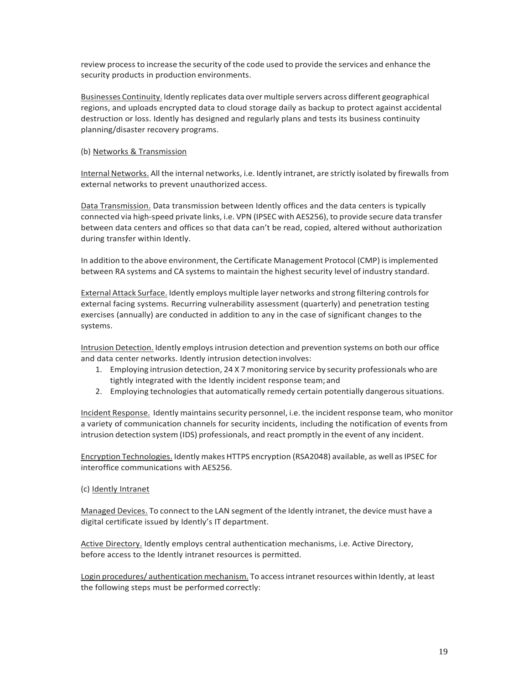review process to increase the security of the code used to provide the services and enhance the security products in production environments.

Businesses Continuity. Idently replicates data overmultiple servers across different geographical regions, and uploads encrypted data to cloud storage daily as backup to protect against accidental destruction or loss. Idently has designed and regularly plans and tests its business continuity planning/disaster recovery programs.

### (b) Networks & Transmission

Internal Networks. All the internal networks, i.e. Idently intranet, are strictly isolated by firewalls from external networks to prevent unauthorized access.

Data Transmission. Data transmission between Idently offices and the data centers is typically connected via high‐speed private links, i.e. VPN (IPSEC with AES256), to provide secure data transfer between data centers and offices so that data can't be read, copied, altered without authorization during transfer within Idently.

In addition to the above environment, the Certificate Management Protocol (CMP) isimplemented between RA systems and CA systems to maintain the highest security level of industry standard.

External Attack Surface. Idently employs multiple layer networks and strong filtering controlsfor external facing systems. Recurring vulnerability assessment (quarterly) and penetration testing exercises (annually) are conducted in addition to any in the case of significant changes to the systems.

Intrusion Detection. Idently employs intrusion detection and prevention systems on both our office and data center networks. Idently intrusion detectioninvolves:

- 1. Employing intrusion detection, 24 X 7 monitoring service by security professionals who are tightly integrated with the Idently incident response team;and
- 2. Employing technologies that automatically remedy certain potentially dangerous situations.

Incident Response. Idently maintains security personnel, i.e. the incident response team, who monitor a variety of communication channels for security incidents, including the notification of events from intrusion detection system (IDS) professionals, and react promptly in the event of any incident.

Encryption Technologies. Idently makes HTTPS encryption (RSA2048) available, as well as IPSEC for interoffice communications with AES256.

#### (c) Idently Intranet

Managed Devices. To connect to the LAN segment of the Idently intranet, the device must have a digital certificate issued by Idently's IT department.

Active Directory. Idently employs central authentication mechanisms, i.e. Active Directory, before access to the Idently intranet resources is permitted.

Login procedures/ authentication mechanism. To access intranet resources within Idently, at least the following steps must be performed correctly: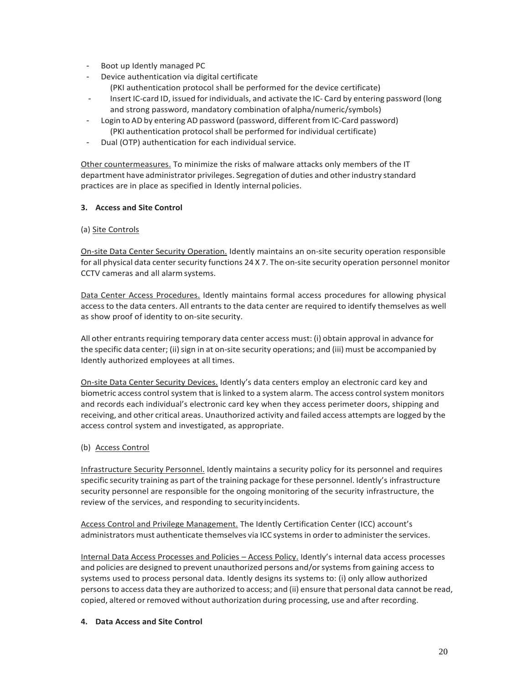- Boot up Idently managed PC
- Device authentication via digital certificate
	- (PKI authentication protocol shall be performed for the device certificate)
- Insert IC-card ID, issued for individuals, and activate the IC- Card by entering password (long and strong password, mandatory combination of alpha/numeric/symbols)
- Login to AD by entering AD password (password, different from IC‐Card password) (PKI authentication protocol shall be performed for individual certificate)
- Dual (OTP) authentication for each individual service.

Other countermeasures. To minimize the risks of malware attacks only members of the IT department have administrator privileges. Segregation of duties and otherindustry standard practices are in place as specified in Idently internalpolicies.

## **3. Access and Site Control**

## (a) Site Controls

On-site Data Center Security Operation. Idently maintains an on-site security operation responsible for all physical data center security functions 24 X 7. The on-site security operation personnel monitor CCTV cameras and all alarm systems.

Data Center Access Procedures. Idently maintains formal access procedures for allowing physical access to the data centers. All entrants to the data center are required to identify themselves as well as show proof of identity to on‐site security.

All other entrants requiring temporary data center access must: (i) obtain approval in advance for the specific data center; (ii) sign in at on-site security operations; and (iii) must be accompanied by Idently authorized employees at all times.

On‐site Data Center Security Devices. Idently's data centers employ an electronic card key and biometric access control system that is linked to a system alarm. The access control system monitors and records each individual's electronic card key when they access perimeter doors, shipping and receiving, and other critical areas. Unauthorized activity and failed access attempts are logged by the access control system and investigated, as appropriate.

## (b) Access Control

Infrastructure Security Personnel. Idently maintains a security policy for its personnel and requires specific security training as part of the training package for these personnel. Idently's infrastructure security personnel are responsible for the ongoing monitoring of the security infrastructure, the review of the services, and responding to securityincidents.

Access Control and Privilege Management. The Idently Certification Center (ICC) account's administrators must authenticate themselves via ICC systems in order to administer the services.

Internal Data Access Processes and Policies – Access Policy. Idently's internal data access processes and policies are designed to prevent unauthorized persons and/orsystemsfrom gaining access to systems used to process personal data. Idently designs its systems to: (i) only allow authorized personsto access data they are authorized to access; and (ii) ensure that personal data cannot be read, copied, altered or removed without authorization during processing, use and after recording.

### **4. Data Access and Site Control**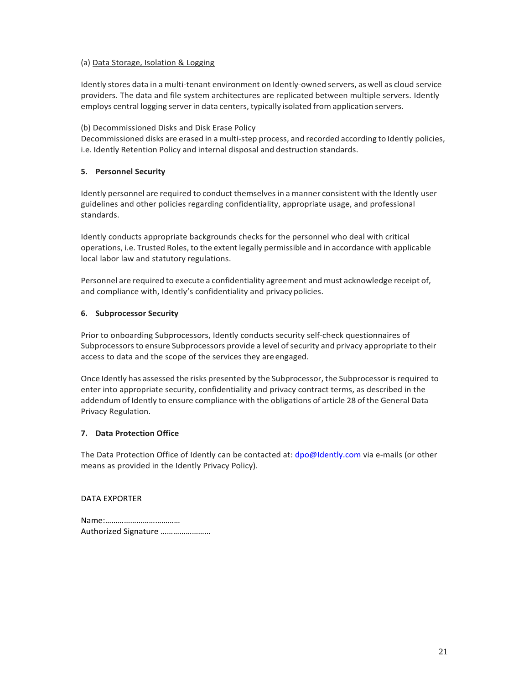### (a) Data Storage, Isolation & Logging

Idently stores data in a multi‐tenant environment on Idently‐owned servers, as well as cloud service providers. The data and file system architectures are replicated between multiple servers. Idently employs central logging serverin data centers, typically isolated from application servers.

### (b) Decommissioned Disks and Disk Erase Policy

Decommissioned disks are erased in a multi‐step process, and recorded according to Idently policies, i.e. Idently Retention Policy and internal disposal and destruction standards.

### **5. Personnel Security**

Idently personnel are required to conduct themselvesin a manner consistent with the Idently user guidelines and other policies regarding confidentiality, appropriate usage, and professional standards.

Idently conducts appropriate backgrounds checks for the personnel who deal with critical operations, i.e. Trusted Roles, to the extent legally permissible and in accordance with applicable local labor law and statutory regulations.

Personnel are required to execute a confidentiality agreement and must acknowledge receipt of, and compliance with, Idently's confidentiality and privacy policies.

### **6. Subprocessor Security**

Prior to onboarding Subprocessors, Idently conducts security self‐check questionnaires of Subprocessors to ensure Subprocessors provide a level of security and privacy appropriate to their access to data and the scope of the services they are engaged.

Once Idently has assessed the risks presented by the Subprocessor, the Subprocessor is required to enter into appropriate security, confidentiality and privacy contract terms, as described in the addendum of Idently to ensure compliance with the obligations of article 28 of the General Data Privacy Regulation.

### **7. Data Protection Office**

The Data Protection Office of Idently can be contacted at[: dpo@Idently.com](mailto:dpo@idently.com) via e-mails (or other means as provided in the Idently Privacy Policy).

DATA EXPORTER

| Authorized Signature |
|----------------------|